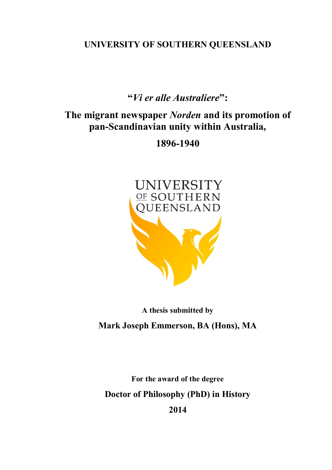#### **UNIVERSITY OF SOUTHERN QUEENSLAND**

**"***Vi er alle Australiere***":** 

### **The migrant newspaper** *Norden* **and its promotion of pan-Scandinavian unity within Australia,**

**1896-1940**



**A thesis submitted by Mark Joseph Emmerson, BA (Hons), MA**

**For the award of the degree Doctor of Philosophy (PhD) in History 2014**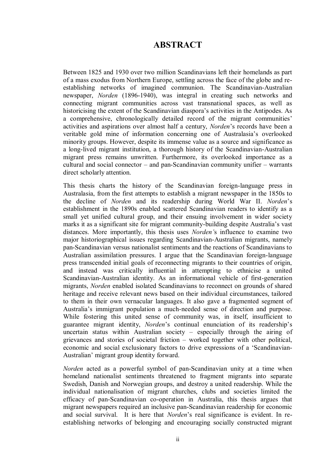#### **ABSTRACT**

Between 1825 and 1930 over two million Scandinavians left their homelands as part of a mass exodus from Northern Europe, settling across the face of the globe and reestablishing networks of imagined communion. The Scandinavian-Australian newspaper, *Norden* (1896-1940), was integral in creating such networks and connecting migrant communities across vast transnational spaces, as well as historicising the extent of the Scandinavian diaspora's activities in the Antipodes. As a comprehensive, chronologically detailed record of the migrant communities' activities and aspirations over almost half a century, *Norden*'s records have been a veritable gold mine of information concerning one of Australasia's overlooked minority groups. However, despite its immense value as a source and significance as a long-lived migrant institution, a thorough history of the Scandinavian-Australian migrant press remains unwritten. Furthermore, its overlooked importance as a cultural and social connector – and pan-Scandinavian community unifier – warrants direct scholarly attention.

This thesis charts the history of the Scandinavian foreign-language press in Australasia, from the first attempts to establish a migrant newspaper in the 1850s to the decline of *Norden* and its readership during World War II. *Norden*'s establishment in the 1890s enabled scattered Scandinavian readers to identify as a small yet unified cultural group, and their ensuing involvement in wider society marks it as a significant site for migrant community-building despite Australia's vast distances. More importantly, this thesis uses *Norden'*s influence to examine two major historiographical issues regarding Scandinavian-Australian migrants, namely pan-Scandinavian versus nationalist sentiments and the reactions of Scandinavians to Australian assimilation pressures. I argue that the Scandinavian foreign-language press transcended initial goals of reconnecting migrants to their countries of origin, and instead was critically influential in attempting to ethnicise a united Scandinavian-Australian identity. As an informational vehicle of first-generation migrants, *Norden* enabled isolated Scandinavians to reconnect on grounds of shared heritage and receive relevant news based on their individual circumstances, tailored to them in their own vernacular languages. It also gave a fragmented segment of Australia's immigrant population a much-needed sense of direction and purpose. While fostering this united sense of community was, in itself, insufficient to guarantee migrant identity, *Norden*'s continual enunciation of its readership's uncertain status within Australian society – especially through the airing of grievances and stories of societal friction – worked together with other political, economic and social exclusionary factors to drive expressions of a 'Scandinavian-Australian' migrant group identity forward.

*Norden* acted as a powerful symbol of pan-Scandinavian unity at a time when homeland nationalist sentiments threatened to fragment migrants into separate Swedish, Danish and Norwegian groups, and destroy a united readership. While the individual nationalisation of migrant churches, clubs and societies limited the efficacy of pan-Scandinavian co-operation in Australia, this thesis argues that migrant newspapers required an inclusive pan-Scandinavian readership for economic and social survival. It is here that *Norden*'s real significance is evident. In reestablishing networks of belonging and encouraging socially constructed migrant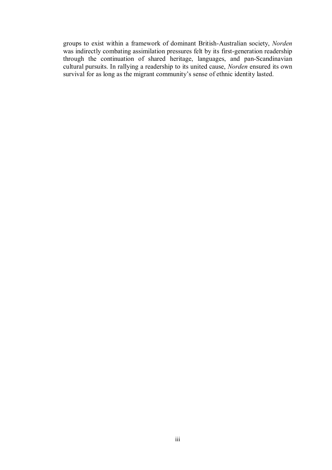groups to exist within a framework of dominant British-Australian society, *Norden* was indirectly combating assimilation pressures felt by its first-generation readership through the continuation of shared heritage, languages, and pan-Scandinavian cultural pursuits. In rallying a readership to its united cause, *Norden* ensured its own survival for as long as the migrant community's sense of ethnic identity lasted.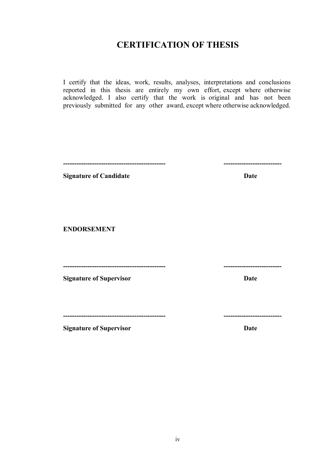#### **CERTIFICATION OF THESIS**

I certify that the ideas, work, results, analyses, interpretations and conclusions reported in this thesis are entirely my own effort, except where otherwise acknowledged. I also certify that the work is original and has not been previously submitted for any other award, except where otherwise acknowledged.

| --------------------------- |
|-----------------------------|

**Signature of Candidate Date** 

**ENDORSEMENT**

**---------------------------------------------- --------------------------**

**Signature of Supervisor** Date

**---------------------------------------------- --------------------------**

**Signature of Supervisor** Date

iv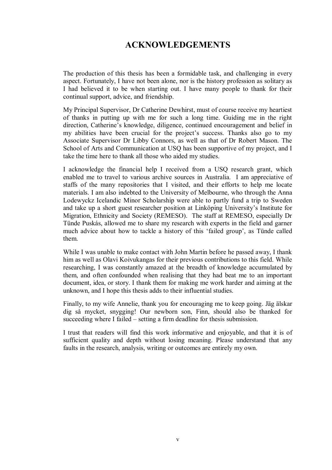#### **ACKNOWLEDGEMENTS**

The production of this thesis has been a formidable task, and challenging in every aspect. Fortunately, I have not been alone, nor is the history profession as solitary as I had believed it to be when starting out. I have many people to thank for their continual support, advice, and friendship.

My Principal Supervisor, Dr Catherine Dewhirst, must of course receive my heartiest of thanks in putting up with me for such a long time. Guiding me in the right direction, Catherine's knowledge, diligence, continued encouragement and belief in my abilities have been crucial for the project's success. Thanks also go to my Associate Supervisor Dr Libby Connors, as well as that of Dr Robert Mason. The School of Arts and Communication at USQ has been supportive of my project, and I take the time here to thank all those who aided my studies.

I acknowledge the financial help I received from a USQ research grant, which enabled me to travel to various archive sources in Australia. I am appreciative of staffs of the many repositories that I visited, and their efforts to help me locate materials. I am also indebted to the University of Melbourne, who through the Anna Lodewyckz Icelandic Minor Scholarship were able to partly fund a trip to Sweden and take up a short guest researcher position at Linköping University's Institute for Migration, Ethnicity and Society (REMESO). The staff at REMESO, especially Dr Tünde Puskás, allowed me to share my research with experts in the field and garner much advice about how to tackle a history of this 'failed group', as Tünde called them.

While I was unable to make contact with John Martin before he passed away, I thank him as well as Olavi Koivukangas for their previous contributions to this field. While researching, I was constantly amazed at the breadth of knowledge accumulated by them, and often confounded when realising that they had beat me to an important document, idea, or story. I thank them for making me work harder and aiming at the unknown, and I hope this thesis adds to their influential studies.

Finally, to my wife Annelie, thank you for encouraging me to keep going. Jäg älskar dig så mycket, snygging! Our newborn son, Finn, should also be thanked for succeeding where I failed – setting a firm deadline for thesis submission.

I trust that readers will find this work informative and enjoyable, and that it is of sufficient quality and depth without losing meaning. Please understand that any faults in the research, analysis, writing or outcomes are entirely my own.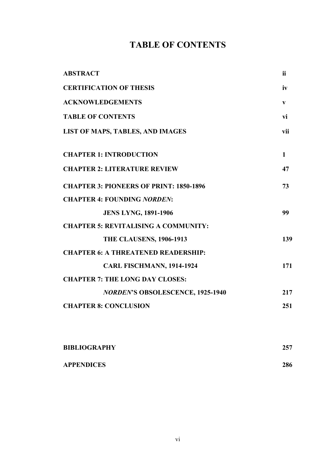## **TABLE OF CONTENTS**

| <b>ABSTRACT</b>                                | ii           |
|------------------------------------------------|--------------|
| <b>CERTIFICATION OF THESIS</b>                 | iv           |
| <b>ACKNOWLEDGEMENTS</b>                        | V            |
| <b>TABLE OF CONTENTS</b>                       | vi           |
| <b>LIST OF MAPS, TABLES, AND IMAGES</b>        | vii          |
| <b>CHAPTER 1: INTRODUCTION</b>                 | $\mathbf{1}$ |
| <b>CHAPTER 2: LITERATURE REVIEW</b>            | 47           |
| <b>CHAPTER 3: PIONEERS OF PRINT: 1850-1896</b> | 73           |
| <b>CHAPTER 4: FOUNDING NORDEN:</b>             |              |
| <b>JENS LYNG, 1891-1906</b>                    | 99           |
| <b>CHAPTER 5: REVITALISING A COMMUNITY:</b>    |              |
| <b>THE CLAUSENS, 1906-1913</b>                 | 139          |
| <b>CHAPTER 6: A THREATENED READERSHIP:</b>     |              |
| CARL FISCHMANN, 1914-1924                      | 171          |
| <b>CHAPTER 7: THE LONG DAY CLOSES:</b>         |              |
| <b>NORDEN'S OBSOLESCENCE, 1925-1940</b>        | 217          |
| <b>CHAPTER 8: CONCLUSION</b>                   | 251          |
|                                                |              |

| <b>BIBLIOGRAPHY</b> | 257 |
|---------------------|-----|
| <b>APPENDICES</b>   | 286 |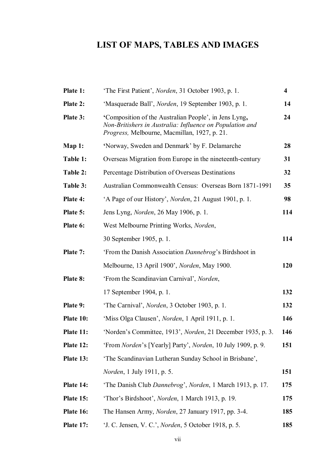# **LIST OF MAPS, TABLES AND IMAGES**

| Plate 1:  | 'The First Patient', <i>Norden</i> , 31 October 1903, p. 1.                                                                                                              | $\overline{\mathbf{4}}$ |
|-----------|--------------------------------------------------------------------------------------------------------------------------------------------------------------------------|-------------------------|
| Plate 2:  | 'Masquerade Ball', <i>Norden</i> , 19 September 1903, p. 1.                                                                                                              | 14                      |
| Plate 3:  | 'Composition of the Australian People', in Jens Lyng,<br>Non-Britishers in Australia: Influence on Population and<br><i>Progress, Melbourne, Macmillan, 1927, p. 21.</i> | 24                      |
| Map 1:    | 'Norway, Sweden and Denmark' by F. Delamarche                                                                                                                            | 28                      |
| Table 1:  | Overseas Migration from Europe in the nineteenth-century                                                                                                                 | 31                      |
| Table 2:  | Percentage Distribution of Overseas Destinations                                                                                                                         | 32                      |
| Table 3:  | Australian Commonwealth Census: Overseas Born 1871-1991                                                                                                                  | 35                      |
| Plate 4:  | 'A Page of our History', <i>Norden</i> , 21 August 1901, p. 1.                                                                                                           | 98                      |
| Plate 5:  | Jens Lyng, <i>Norden</i> , 26 May 1906, p. 1.                                                                                                                            | 114                     |
| Plate 6:  | West Melbourne Printing Works, Norden,                                                                                                                                   |                         |
|           | 30 September 1905, p. 1.                                                                                                                                                 | 114                     |
| Plate 7:  | 'From the Danish Association Dannebrog's Birdshoot in                                                                                                                    |                         |
|           | Melbourne, 13 April 1900', Norden, May 1900.                                                                                                                             | 120                     |
| Plate 8:  | 'From the Scandinavian Carnival', Norden,                                                                                                                                |                         |
|           | 17 September 1904, p. 1.                                                                                                                                                 | 132                     |
| Plate 9:  | 'The Carnival', <i>Norden</i> , 3 October 1903, p. 1.                                                                                                                    | 132                     |
| Plate 10: | 'Miss Olga Clausen', <i>Norden</i> , 1 April 1911, p. 1.                                                                                                                 | 146                     |
| Plate 11: | 'Norden's Committee, 1913', <i>Norden</i> , 21 December 1935, p. 3.                                                                                                      | 146                     |
| Plate 12: | 'From Norden's [Yearly] Party', Norden, 10 July 1909, p. 9.                                                                                                              | 151                     |
| Plate 13: | 'The Scandinavian Lutheran Sunday School in Brisbane',                                                                                                                   |                         |
|           | <i>Norden</i> , 1 July 1911, p. 5.                                                                                                                                       | 151                     |
| Plate 14: | 'The Danish Club Dannebrog', Norden, 1 March 1913, p. 17.                                                                                                                | 175                     |
| Plate 15: | 'Thor's Birdshoot', <i>Norden</i> , 1 March 1913, p. 19.                                                                                                                 | 175                     |
| Plate 16: | The Hansen Army, <i>Norden</i> , 27 January 1917, pp. 3-4.                                                                                                               | 185                     |
| Plate 17: | 'J. C. Jensen, V. C.', Norden, 5 October 1918, p. 5.                                                                                                                     | 185                     |